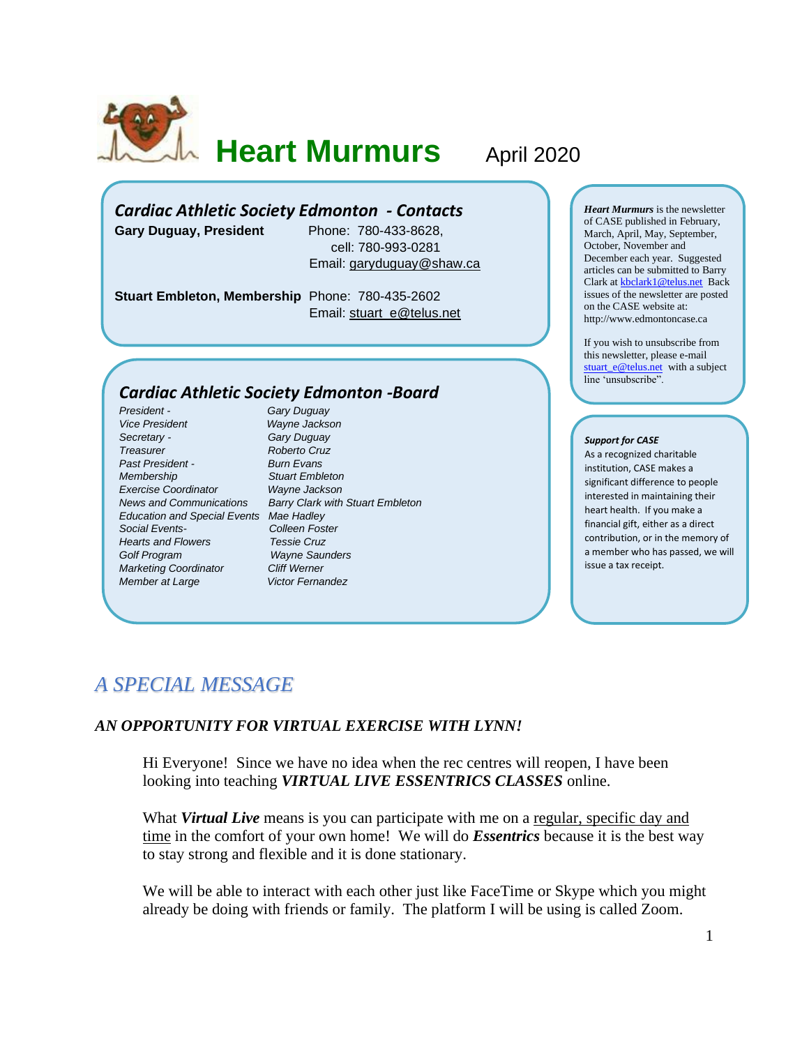

**Heart Murmurs April 2020** 

## *Cardiac Athletic Society Edmonton - Contacts*

**Gary Duguay, President** Phone: 780-433-8628,

 cell: 780-993-0281 Email: [garyduguay@shaw.ca](mailto:garyduguay@shaw.ca)

**Stuart Embleton, Membership** Phone: 780-435-2602 Email: [stuart\\_e@telus.net](mailto:stuart_e@telus.net)

### *Cardiac Athletic Society Edmonton -Board*

*President - Gary Duguay Vice President Wayne Jackson Secretary - Gary Duguay Treasurer Roberto Cruz Past President - Burn Evans Membership Stuart Embleton Exercise Coordinator Wayne Jackson Education and Special Events Mae Hadley Social Events- Colleen Foster Hearts and Flowers Tessie Cruz Golf Program Wayne Saunders Marketing Coordinator Cliff Werner* **Member at Large Victor Fernandez** 

*News and Communications Barry Clark with Stuart Embleton*

*Heart Murmurs* is the newsletter of CASE published in February, March, April, May, September, October, November and December each year. Suggested articles can be submitted to Barry Clark a[t kbclark1@telus.net](mailto:kbclark1@telus.net) Back issues of the newsletter are posted on the CASE website at: [http://www.edmontoncase.ca](http://www.edmontoncase.ca/)

If you wish to unsubscribe from this newsletter, please e-mail [stuart\\_e@telus.net](mailto:stuart_e@telus.net) with a subject line 'unsubscribe".

#### *Support for CASE*

As a recognized charitable institution, CASE makes a significant difference to people interested in maintaining their heart health. If you make a financial gift, either as a direct contribution, or in the memory of a member who has passed, we will issue a tax receipt.

# *A SPECIAL MESSAGE*

### *AN OPPORTUNITY FOR VIRTUAL EXERCISE WITH LYNN!*

Hi Everyone! Since we have no idea when the rec centres will reopen, I have been looking into teaching *VIRTUAL LIVE ESSENTRICS CLASSES* online.

What *Virtual Live* means is you can participate with me on a <u>regular, specific day and</u> time in the comfort of your own home! We will do *Essentrics* because it is the best way to stay strong and flexible and it is done stationary.

We will be able to interact with each other just like FaceTime or Skype which you might already be doing with friends or family. The platform I will be using is called Zoom.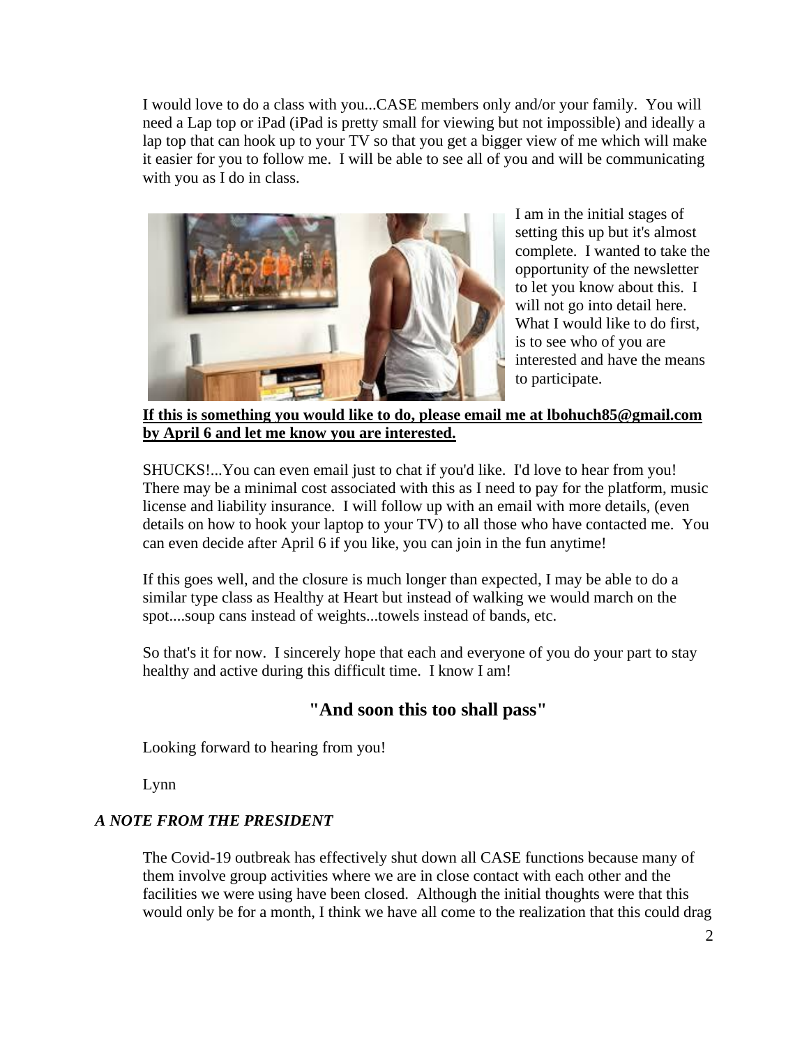I would love to do a class with you...CASE members only and/or your family. You will need a Lap top or iPad (iPad is pretty small for viewing but not impossible) and ideally a lap top that can hook up to your TV so that you get a bigger view of me which will make it easier for you to follow me. I will be able to see all of you and will be communicating with you as I do in class.



I am in the initial stages of setting this up but it's almost complete. I wanted to take the opportunity of the newsletter to let you know about this. I will not go into detail here. What I would like to do first, is to see who of you are interested and have the means to participate.

**If this is something you would like to do, please email me at [lbohuch85@gmail.com](mailto:lbohuch8@gmail.com) by April 6 and let me know you are interested.** 

SHUCKS!...You can even email just to chat if you'd like. I'd love to hear from you! There may be a minimal cost associated with this as I need to pay for the platform, music license and liability insurance. I will follow up with an email with more details, (even details on how to hook your laptop to your TV) to all those who have contacted me. You can even decide after April 6 if you like, you can join in the fun anytime!

If this goes well, and the closure is much longer than expected, I may be able to do a similar type class as Healthy at Heart but instead of walking we would march on the spot....soup cans instead of weights...towels instead of bands, etc.

So that's it for now. I sincerely hope that each and everyone of you do your part to stay healthy and active during this difficult time. I know I am!

# **"And soon this too shall pass"**

Looking forward to hearing from you!

Lynn

# *A NOTE FROM THE PRESIDENT*

The Covid-19 outbreak has effectively shut down all CASE functions because many of them involve group activities where we are in close contact with each other and the facilities we were using have been closed. Although the initial thoughts were that this would only be for a month, I think we have all come to the realization that this could drag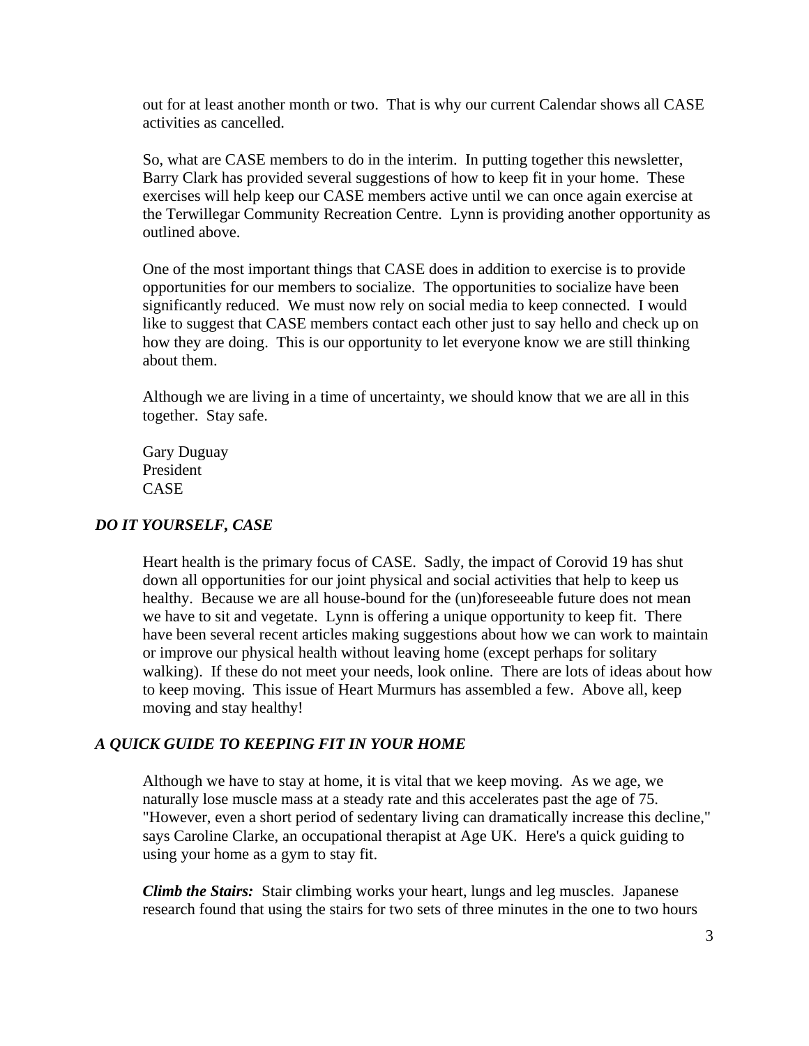out for at least another month or two. That is why our current Calendar shows all CASE activities as cancelled.

So, what are CASE members to do in the interim. In putting together this newsletter, Barry Clark has provided several suggestions of how to keep fit in your home. These exercises will help keep our CASE members active until we can once again exercise at the Terwillegar Community Recreation Centre. Lynn is providing another opportunity as outlined above.

One of the most important things that CASE does in addition to exercise is to provide opportunities for our members to socialize. The opportunities to socialize have been significantly reduced. We must now rely on social media to keep connected. I would like to suggest that CASE members contact each other just to say hello and check up on how they are doing. This is our opportunity to let everyone know we are still thinking about them.

Although we are living in a time of uncertainty, we should know that we are all in this together. Stay safe.

Gary Duguay President CASE

### *DO IT YOURSELF, CASE*

Heart health is the primary focus of CASE. Sadly, the impact of Corovid 19 has shut down all opportunities for our joint physical and social activities that help to keep us healthy. Because we are all house-bound for the (un)foreseeable future does not mean we have to sit and vegetate. Lynn is offering a unique opportunity to keep fit. There have been several recent articles making suggestions about how we can work to maintain or improve our physical health without leaving home (except perhaps for solitary walking). If these do not meet your needs, look online. There are lots of ideas about how to keep moving. This issue of Heart Murmurs has assembled a few. Above all, keep moving and stay healthy!

#### *A QUICK GUIDE TO KEEPING FIT IN YOUR HOME*

Although we have to stay at home, it is vital that we keep moving. As we age, we naturally lose muscle mass at a steady rate and this accelerates past the age of 75. "However, even a short period of sedentary living can dramatically increase this decline," says Caroline Clarke, an occupational therapist at Age UK. Here's a quick guiding to using your home as a gym to stay fit.

*Climb the Stairs:* Stair climbing works your heart, lungs and leg muscles. Japanese research found that using the stairs for two sets of three minutes in the one to two hours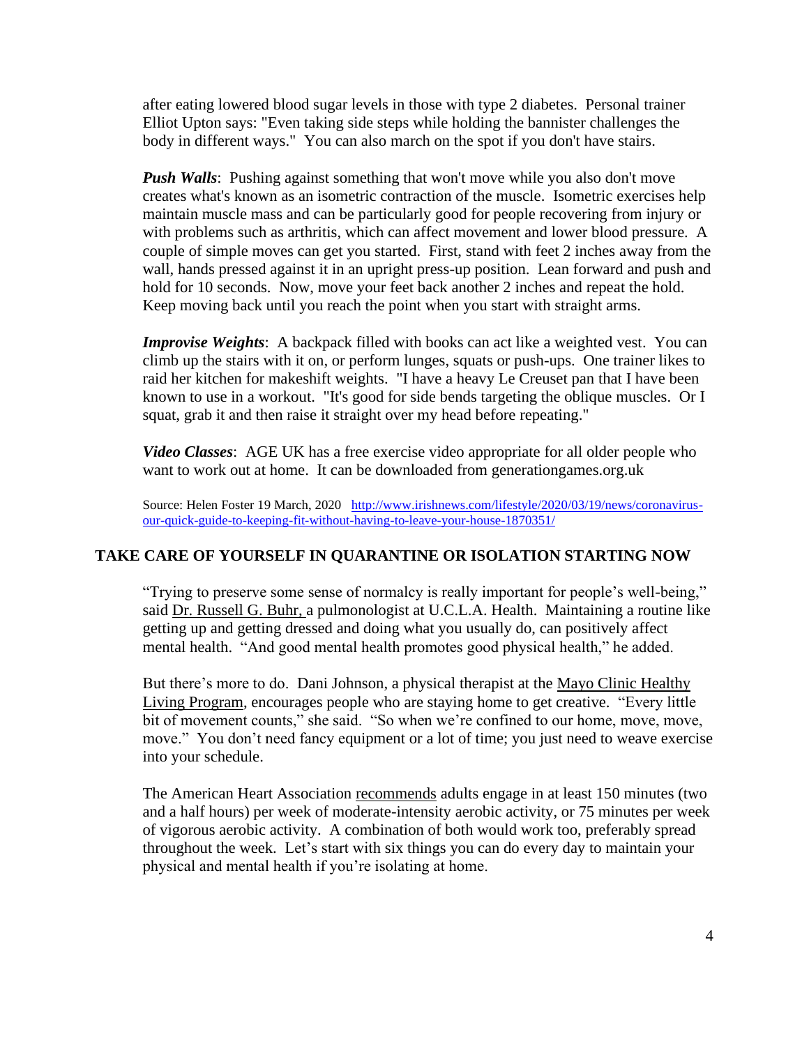after eating lowered blood sugar levels in those with type 2 diabetes. Personal trainer Elliot Upton says: "Even taking side steps while holding the bannister challenges the body in different ways." You can also march on the spot if you don't have stairs.

*Push Walls*: Pushing against something that won't move while you also don't move creates what's known as an isometric contraction of the muscle. Isometric exercises help maintain muscle mass and can be particularly good for people recovering from injury or with problems such as arthritis, which can affect movement and lower blood pressure. A couple of simple moves can get you started. First, stand with feet 2 inches away from the wall, hands pressed against it in an upright press-up position. Lean forward and push and hold for 10 seconds. Now, move your feet back another 2 inches and repeat the hold. Keep moving back until you reach the point when you start with straight arms.

*Improvise Weights*: A backpack filled with books can act like a weighted vest. You can climb up the stairs with it on, or perform lunges, squats or push-ups. One trainer likes to raid her kitchen for makeshift weights. "I have a heavy Le Creuset pan that I have been known to use in a workout. "It's good for side bends targeting the oblique muscles. Or I squat, grab it and then raise it straight over my head before repeating."

*Video Classes*: AGE UK has a free exercise video appropriate for all older people who want to work out at home. It can be downloaded from generationgames.org.uk

Source: Helen Foster 19 March, 2020 [http://www.irishnews.com/lifestyle/2020/03/19/news/coronavirus](http://www.irishnews.com/lifestyle/2020/03/19/news/coronavirus-our-quick-guide-to-keeping-fit-without-having-to-leave-your-house-1870351/)[our-quick-guide-to-keeping-fit-without-having-to-leave-your-house-1870351/](http://www.irishnews.com/lifestyle/2020/03/19/news/coronavirus-our-quick-guide-to-keeping-fit-without-having-to-leave-your-house-1870351/)

## **TAKE CARE OF YOURSELF IN QUARANTINE OR ISOLATION STARTING NOW**

"Trying to preserve some sense of normalcy is really important for people's well-being," said [Dr. Russell G. Buhr, a](https://www.uclahealth.org/russell-buhr) pulmonologist at U.C.L.A. Health. Maintaining a routine like getting up and getting dressed and doing what you usually do, can positively affect mental health. "And good mental health promotes good physical health," he added.

But there's more to do. Dani Johnson, a physical therapist at the [Mayo Clinic Healthy](https://healthyliving.mayoclinic.org/)  [Living Program,](https://healthyliving.mayoclinic.org/) encourages people who are staying home to get creative. "Every little bit of movement counts," she said. "So when we're confined to our home, move, move, move." You don't need fancy equipment or a lot of time; you just need to weave exercise into your schedule.

The American Heart Association [recommends](https://www.heart.org/en/healthy-living/fitness/fitness-basics/aha-recs-for-physical-activity-in-adults) adults engage in at least 150 minutes (two and a half hours) per week of moderate-intensity aerobic activity, or 75 minutes per week of vigorous aerobic activity. A combination of both would work too, preferably spread throughout the week. Let's start with six things you can do every day to maintain your physical and mental health if you're isolating at home.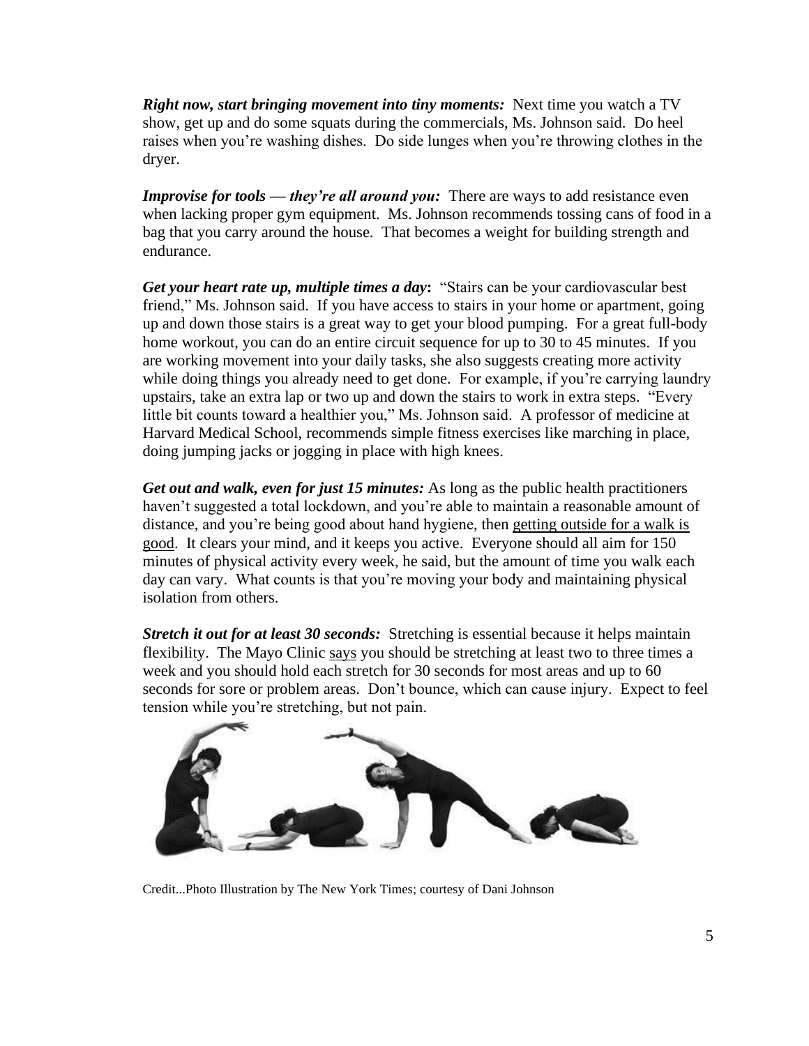*Right now, start bringing movement into tiny moments:* Next time you watch a TV show, get up and do some squats during the commercials, Ms. Johnson said. Do heel raises when you're washing dishes. Do side lunges when you're throwing clothes in the dryer.

*Improvise for tools — they're all around you: There are ways to add resistance even* when lacking proper gym equipment. Ms. Johnson recommends tossing cans of food in a bag that you carry around the house. That becomes a weight for building strength and endurance.

*Get your heart rate up, multiple times a day***:** "Stairs can be your cardiovascular best friend," Ms. Johnson said. If you have access to stairs in your home or apartment, going up and down those stairs is a great way to get your blood pumping. For a great full-body home workout, you can do an entire circuit sequence for up to 30 to 45 minutes. If you are working movement into your daily tasks, she also suggests creating more activity while doing things you already need to get done. For example, if you're carrying laundry upstairs, take an extra lap or two up and down the stairs to work in extra steps. "Every little bit counts toward a healthier you," Ms. Johnson said. A professor of medicine at Harvard Medical School, recommends simple fitness exercises like marching in place, doing jumping jacks or jogging in place with high knees.

*[Get out and walk,](https://www.nytimes.com/2020/03/17/style/self-care/is-it-ok-to-go-for-a-walk-coronavirus.html) even for just 15 minutes:* As long as the public health practitioners haven't suggested a total lockdown, and you're able to maintain a reasonable amount of distance, and you're being good about hand hygiene, then [getting outside for a walk is](https://www.nytimes.com/2020/03/17/style/self-care/is-it-ok-to-go-for-a-walk-coronavirus.html)  [good.](https://www.nytimes.com/2020/03/17/style/self-care/is-it-ok-to-go-for-a-walk-coronavirus.html) It clears your mind, and it keeps you active. Everyone should all aim for 150 minutes of physical activity every week, he said, but the amount of time you walk each day can vary. What counts is that you're moving your body and maintaining physical isolation from others.

**Stretch it out for at least 30 seconds:** Stretching is essential because it helps maintain flexibility. The Mayo Clinic [says](https://www.mayoclinic.org/healthy-lifestyle/fitness/in-depth/stretching/art-20047931) you should be stretching at least two to three times a week and you should hold each stretch for 30 seconds for most areas and up to 60 seconds for sore or problem areas. Don't bounce, which can cause injury. Expect to feel tension while you're stretching, but not pain.



Credit...Photo Illustration by The New York Times; courtesy of Dani Johnson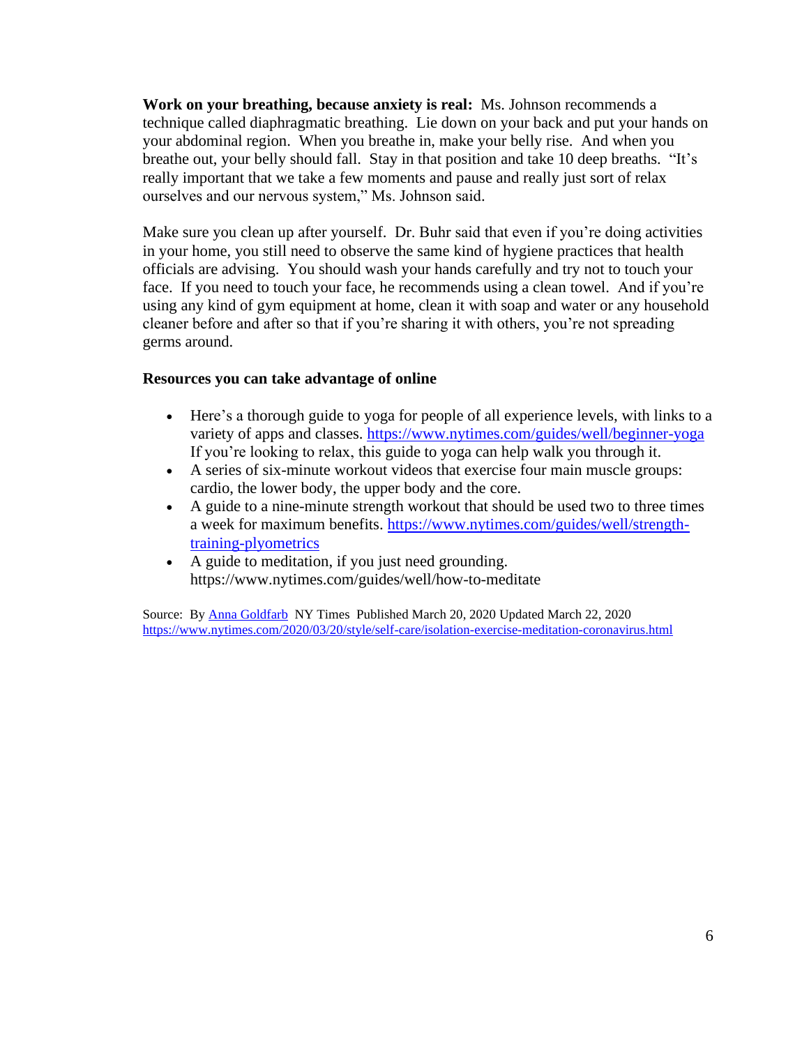**Work on your breathing, because anxiety is real:** Ms. Johnson recommends a technique called diaphragmatic breathing. Lie down on your back and put your hands on your abdominal region. When you breathe in, make your belly rise. And when you breathe out, your belly should fall. Stay in that position and take 10 deep breaths. "It's really important that we take a few moments and pause and really just sort of relax ourselves and our nervous system," Ms. Johnson said.

Make sure you clean up after yourself. Dr. Buhr said that even if you're doing activities in your home, you still need to observe the same kind of hygiene practices that health officials are advising. You should wash your hands carefully and try not to touch your face. If you need to touch your face, he recommends using a clean towel. And if you're using any kind of gym equipment at home, clean it with soap and water or any household cleaner before and after so that if you're sharing it with others, you're not spreading germs around.

### **Resources you can take advantage of online**

- Here's a thorough [guide](https://www.nytimes.com/guides/well/beginner-yoga) to yoga for people of all experience levels, with links to a variety of apps and classes. <https://www.nytimes.com/guides/well/beginner-yoga> If you're looking to relax, this [guide](https://www.nytimes.com/guides/well/yoga-stress) to yoga can help walk you through it.
- A [series](https://www.nytimes.com/2020/02/18/well/move/in-6-minutes-you-can-be-done-with-your-workout.html) of six-minute workout videos that exercise four main muscle groups: cardio, the lower body, the upper body and the core.
- A [guide](https://www.nytimes.com/guides/well/strength-training-plyometrics) to a nine-minute strength workout that should be used two to three times a week for maximum benefits. [https://www.nytimes.com/guides/well/strength](https://www.nytimes.com/guides/well/strength-training-plyometrics)[training-plyometrics](https://www.nytimes.com/guides/well/strength-training-plyometrics)
- A [guide](https://www.nytimes.com/guides/well/how-to-meditate) to meditation, if you just need grounding. https://www.nytimes.com/guides/well/how-to-meditate

Source: B[y Anna Goldfarb](https://www.nytimes.com/by/anna-goldfarb) NY Times Published March 20, 2020 Updated March 22, 2020 <https://www.nytimes.com/2020/03/20/style/self-care/isolation-exercise-meditation-coronavirus.html>